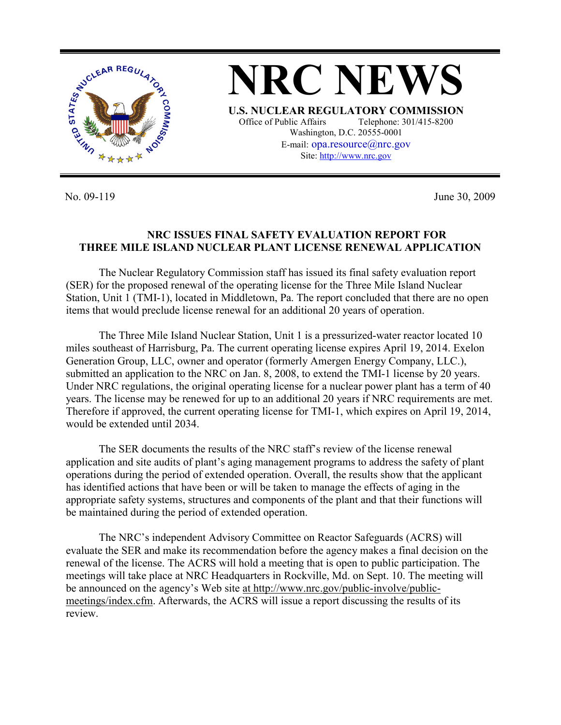

No. 09-119 June 30, 2009

## **NRC ISSUES FINAL SAFETY EVALUATION REPORT FOR THREE MILE ISLAND NUCLEAR PLANT LICENSE RENEWAL APPLICATION**

 The Nuclear Regulatory Commission staff has issued its final safety evaluation report (SER) for the proposed renewal of the operating license for the Three Mile Island Nuclear Station, Unit 1 (TMI-1), located in Middletown, Pa. The report concluded that there are no open items that would preclude license renewal for an additional 20 years of operation.

 The Three Mile Island Nuclear Station, Unit 1 is a pressurized-water reactor located 10 miles southeast of Harrisburg, Pa. The current operating license expires April 19, 2014. Exelon Generation Group, LLC, owner and operator (formerly Amergen Energy Company, LLC.), submitted an application to the NRC on Jan. 8, 2008, to extend the TMI-1 license by 20 years. Under NRC regulations, the original operating license for a nuclear power plant has a term of 40 years. The license may be renewed for up to an additional 20 years if NRC requirements are met. Therefore if approved, the current operating license for TMI-1, which expires on April 19, 2014, would be extended until 2034.

 The SER documents the results of the NRC staff's review of the license renewal application and site audits of plant's aging management programs to address the safety of plant operations during the period of extended operation. Overall, the results show that the applicant has identified actions that have been or will be taken to manage the effects of aging in the appropriate safety systems, structures and components of the plant and that their functions will be maintained during the period of extended operation.

 The NRC's independent Advisory Committee on Reactor Safeguards (ACRS) will evaluate the SER and make its recommendation before the agency makes a final decision on the renewal of the license. The ACRS will hold a meeting that is open to public participation. The meetings will take place at NRC Headquarters in Rockville, Md. on Sept. 10. The meeting will be announced on the agency's Web site at http://www.nrc.gov/public-involve/publicmeetings/index.cfm. Afterwards, the ACRS will issue a report discussing the results of its review.